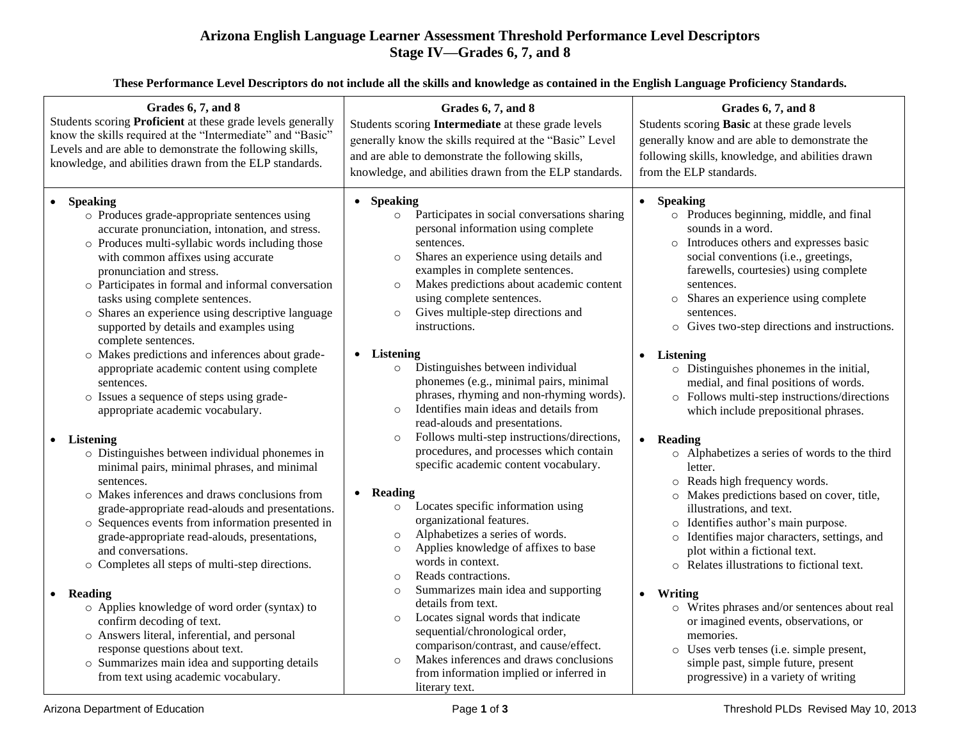## **Arizona English Language Learner Assessment Threshold Performance Level Descriptors Stage IV—Grades 6, 7, and 8**

**These Performance Level Descriptors do not include all the skills and knowledge as contained in the English Language Proficiency Standards.**

| Grades 6, 7, and 8<br>Students scoring Proficient at these grade levels generally<br>know the skills required at the "Intermediate" and "Basic"<br>Levels and are able to demonstrate the following skills,<br>knowledge, and abilities drawn from the ELP standards.                                                                                                                                                                                                                                                                                                                                                                                                                                                                                                                                                                                                                                                                                                                                                                                                                                                                                                                                                                                                                                                                                         | Grades 6, 7, and 8<br>Students scoring Intermediate at these grade levels<br>generally know the skills required at the "Basic" Level<br>and are able to demonstrate the following skills,<br>knowledge, and abilities drawn from the ELP standards.                                                                                                                                                                                                                                                                                                                                                                                                                                                                                                                                                                                                                                                                                                                                                                                                                                                                                                                                                                                                                                                            | Grades 6, 7, and 8<br>Students scoring Basic at these grade levels<br>generally know and are able to demonstrate the<br>following skills, knowledge, and abilities drawn<br>from the ELP standards.                                                                                                                                                                                                                                                                                                                                                                                                                                                                                                                                                                                                                                                                                                                                                                                                                                                                                                                                                            |
|---------------------------------------------------------------------------------------------------------------------------------------------------------------------------------------------------------------------------------------------------------------------------------------------------------------------------------------------------------------------------------------------------------------------------------------------------------------------------------------------------------------------------------------------------------------------------------------------------------------------------------------------------------------------------------------------------------------------------------------------------------------------------------------------------------------------------------------------------------------------------------------------------------------------------------------------------------------------------------------------------------------------------------------------------------------------------------------------------------------------------------------------------------------------------------------------------------------------------------------------------------------------------------------------------------------------------------------------------------------|----------------------------------------------------------------------------------------------------------------------------------------------------------------------------------------------------------------------------------------------------------------------------------------------------------------------------------------------------------------------------------------------------------------------------------------------------------------------------------------------------------------------------------------------------------------------------------------------------------------------------------------------------------------------------------------------------------------------------------------------------------------------------------------------------------------------------------------------------------------------------------------------------------------------------------------------------------------------------------------------------------------------------------------------------------------------------------------------------------------------------------------------------------------------------------------------------------------------------------------------------------------------------------------------------------------|----------------------------------------------------------------------------------------------------------------------------------------------------------------------------------------------------------------------------------------------------------------------------------------------------------------------------------------------------------------------------------------------------------------------------------------------------------------------------------------------------------------------------------------------------------------------------------------------------------------------------------------------------------------------------------------------------------------------------------------------------------------------------------------------------------------------------------------------------------------------------------------------------------------------------------------------------------------------------------------------------------------------------------------------------------------------------------------------------------------------------------------------------------------|
| <b>Speaking</b><br>$\bullet$<br>o Produces grade-appropriate sentences using<br>accurate pronunciation, intonation, and stress.<br>o Produces multi-syllabic words including those<br>with common affixes using accurate<br>pronunciation and stress.<br>o Participates in formal and informal conversation<br>tasks using complete sentences.<br>o Shares an experience using descriptive language<br>supported by details and examples using<br>complete sentences.<br>o Makes predictions and inferences about grade-<br>appropriate academic content using complete<br>sentences.<br>o Issues a sequence of steps using grade-<br>appropriate academic vocabulary.<br>• Listening<br>o Distinguishes between individual phonemes in<br>minimal pairs, minimal phrases, and minimal<br>sentences.<br>o Makes inferences and draws conclusions from<br>grade-appropriate read-alouds and presentations.<br>o Sequences events from information presented in<br>grade-appropriate read-alouds, presentations,<br>and conversations.<br>o Completes all steps of multi-step directions.<br>• Reading<br>o Applies knowledge of word order (syntax) to<br>confirm decoding of text.<br>o Answers literal, inferential, and personal<br>response questions about text.<br>o Summarizes main idea and supporting details<br>from text using academic vocabulary. | • Speaking<br>Participates in social conversations sharing<br>$\circ$<br>personal information using complete<br>sentences.<br>Shares an experience using details and<br>$\circ$<br>examples in complete sentences.<br>Makes predictions about academic content<br>$\circ$<br>using complete sentences.<br>Gives multiple-step directions and<br>instructions.<br>• Listening<br>Distinguishes between individual<br>$\circ$<br>phonemes (e.g., minimal pairs, minimal<br>phrases, rhyming and non-rhyming words).<br>Identifies main ideas and details from<br>$\circ$<br>read-alouds and presentations.<br>Follows multi-step instructions/directions,<br>$\circ$<br>procedures, and processes which contain<br>specific academic content vocabulary.<br>• Reading<br>Locates specific information using<br>$\circ$<br>organizational features.<br>Alphabetizes a series of words.<br>$\circ$<br>Applies knowledge of affixes to base<br>$\circ$<br>words in context.<br>Reads contractions.<br>$\circ$<br>Summarizes main idea and supporting<br>$\circ$<br>details from text.<br>Locates signal words that indicate<br>$\circ$<br>sequential/chronological order,<br>comparison/contrast, and cause/effect.<br>Makes inferences and draws conclusions<br>$\circ$<br>from information implied or inferred in | • Speaking<br>o Produces beginning, middle, and final<br>sounds in a word.<br>o Introduces others and expresses basic<br>social conventions (i.e., greetings,<br>farewells, courtesies) using complete<br>sentences.<br>o Shares an experience using complete<br>sentences.<br>o Gives two-step directions and instructions.<br>Listening<br>$\bullet$<br>o Distinguishes phonemes in the initial,<br>medial, and final positions of words.<br>o Follows multi-step instructions/directions<br>which include prepositional phrases.<br>Reading<br>$\bullet$<br>o Alphabetizes a series of words to the third<br>letter.<br>o Reads high frequency words.<br>o Makes predictions based on cover, title,<br>illustrations, and text.<br>o Identifies author's main purpose.<br>o Identifies major characters, settings, and<br>plot within a fictional text.<br>o Relates illustrations to fictional text.<br>• Writing<br>o Writes phrases and/or sentences about real<br>or imagined events, observations, or<br>memories.<br>Uses verb tenses (i.e. simple present,<br>$\circ$<br>simple past, simple future, present<br>progressive) in a variety of writing |
| Arizona Department of Education                                                                                                                                                                                                                                                                                                                                                                                                                                                                                                                                                                                                                                                                                                                                                                                                                                                                                                                                                                                                                                                                                                                                                                                                                                                                                                                               | literary text.<br>Page 1 of 3                                                                                                                                                                                                                                                                                                                                                                                                                                                                                                                                                                                                                                                                                                                                                                                                                                                                                                                                                                                                                                                                                                                                                                                                                                                                                  | Threshold PLDs Revised May 10, 2013                                                                                                                                                                                                                                                                                                                                                                                                                                                                                                                                                                                                                                                                                                                                                                                                                                                                                                                                                                                                                                                                                                                            |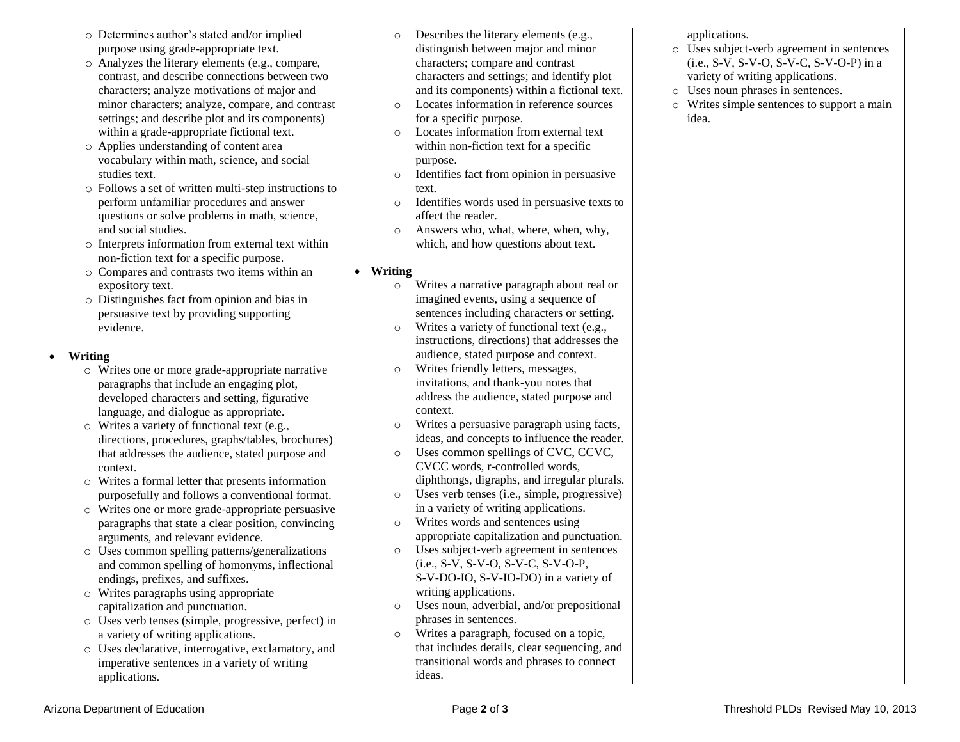- o Determines author's stated and/or implied purpose using grade-appropriate text.
- o Analyzes the literary elements (e.g., compare, contrast, and describe connections between two characters; analyze motivations of major and minor characters; analyze, compare, and contrast settings; and describe plot and its components) within a grade-appropriate fictional text.
- o Applies understanding of content area vocabulary within math, science, and social studies text.
- o Follows a set of written multi-step instructions to perform unfamiliar procedures and answer questions or solve problems in math, science, and social studies.
- o Interprets information from external text within non-fiction text for a specific purpose.
- o Compares and contrasts two items within an expository text.
- o Distinguishes fact from opinion and bias in persuasive text by providing supporting evidence.

## **Writing**

- o Writes one or more grade-appropriate narrative paragraphs that include an engaging plot, developed characters and setting, figurative language, and dialogue as appropriate.
- o Writes a variety of functional text (e.g., directions, procedures, graphs/tables, brochures) that addresses the audience, stated purpose and context.
- o Writes a formal letter that presents information purposefully and follows a conventional format.
- o Writes one or more grade-appropriate persuasive paragraphs that state a clear position, convincing arguments, and relevant evidence.
- o Uses common spelling patterns/generalizations and common spelling of homonyms, inflectional endings, prefixes, and suffixes.
- o Writes paragraphs using appropriate capitalization and punctuation.
- o Uses verb tenses (simple, progressive, perfect) in a variety of writing applications.
- o Uses declarative, interrogative, exclamatory, and imperative sentences in a variety of writing applications.
- o Describes the literary elements (e.g., distinguish between major and minor characters; compare and contrast characters and settings; and identify plot and its components) within a fictional text.
- o Locates information in reference sources for a specific purpose.
- o Locates information from external text within non-fiction text for a specific purpose.
- o Identifies fact from opinion in persuasive text.
- o Identifies words used in persuasive texts to affect the reader.
- o Answers who, what, where, when, why, which, and how questions about text.
- **Writing**
	- o Writes a narrative paragraph about real or imagined events, using a sequence of sentences including characters or setting.
	- o Writes a variety of functional text (e.g., instructions, directions) that addresses the audience, stated purpose and context.
	- o Writes friendly letters, messages, invitations, and thank-you notes that address the audience, stated purpose and context.
	- o Writes a persuasive paragraph using facts, ideas, and concepts to influence the reader.
	- o Uses common spellings of CVC, CCVC, CVCC words, r-controlled words, diphthongs, digraphs, and irregular plurals.
	- o Uses verb tenses (i.e., simple, progressive) in a variety of writing applications.
	- o Writes words and sentences using appropriate capitalization and punctuation.
	- o Uses subject-verb agreement in sentences (i.e., S-V, S-V-O, S-V-C, S-V-O-P, S-V-DO-IO, S-V-IO-DO) in a variety of writing applications.
	- o Uses noun, adverbial, and/or prepositional phrases in sentences.
	- o Writes a paragraph, focused on a topic, that includes details, clear sequencing, and transitional words and phrases to connect ideas.

applications.

- o Uses subject-verb agreement in sentences (i.e., S-V, S-V-O, S-V-C, S-V-O-P) in a variety of writing applications.
- o Uses noun phrases in sentences.
- o Writes simple sentences to support a main idea.